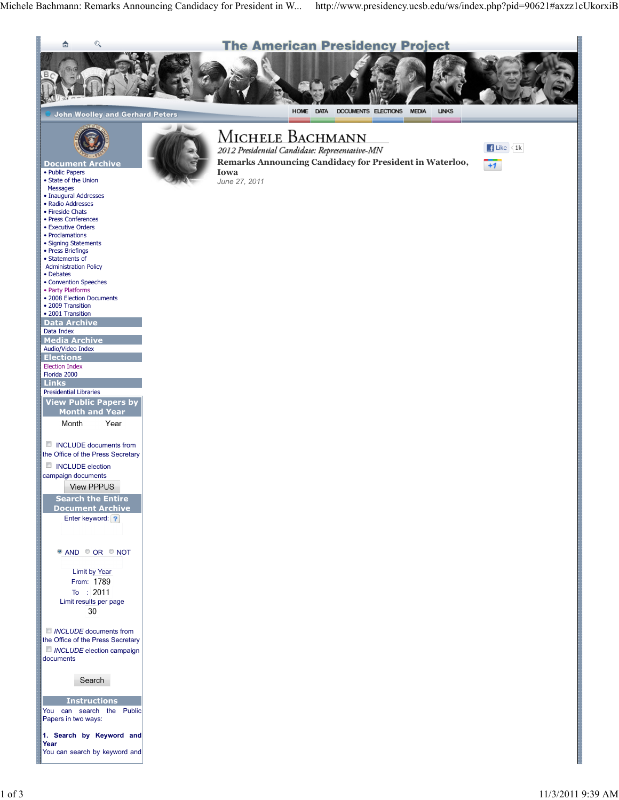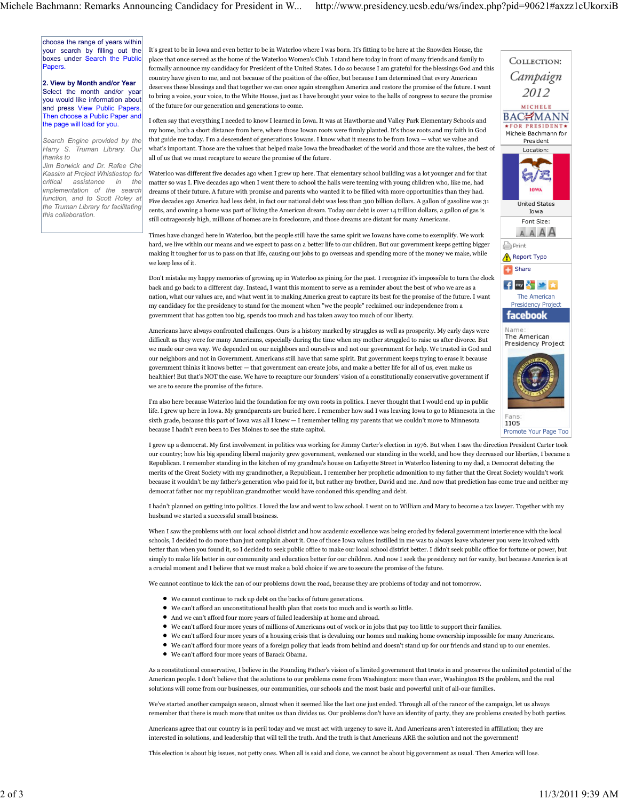**Share** 

A Print

Report Typo

Michele Bachmann for President Location:

COLLECTION: Campaign 2012 MICHELI **BACZMANN \*FOR PRESIDENT\*** 

> United States Iowa Font Size:

AAAA

 $z/\bar{z}$ 

The American Presidency Project

**f** my <mark>3 ℃ ★</mark>

facebook Name: The American Presidency Project

Promote Your Page Too

1105

choose the range of years within your search by filling out the boxes under Search the Public **Papers** 

2. View by Month and/or Year Select the month and/or year you would like information about and press View Public Papers. Then choose a Public Paper and the page will load for you.

Search Engine provided by the Harry S. Truman Library. Our thanks to

Jim Borwick and Dr. Rafee Che Kassim at Project Whistlestop for critical assistance in the implementation of the search function, and to Scott Roley at the Truman Library for facilitating this collaboration.

It's great to be in Iowa and even better to be in Waterloo where I was born. It's fitting to be here at the Snowden House, the place that once served as the home of the Waterloo Women's Club. I stand here today in front of many friends and family to formally announce my candidacy for President of the United States. I do so because I am grateful for the blessings God and this country have given to me, and not because of the position of the office, but because I am determined that every American deserves these blessings and that together we can once again strengthen America and restore the promise of the future. I want to bring a voice, your voice, to the White House, just as I have brought your voice to the halls of congress to secure the promise of the future for our generation and generations to come.

I often say that everything I needed to know I learned in Iowa. It was at Hawthorne and Valley Park Elementary Schools and my home, both a short distance from here, where those Iowan roots were firmly planted. It's those roots and my faith in God that guide me today. I'm a descendent of generations Iowans. I know what it means to be from Iowa — what we value and what's important. Those are the values that helped make Iowa the breadbasket of the world and those are the values, the best of all of us that we must recapture to secure the promise of the future.

Waterloo was different five decades ago when I grew up here. That elementary school building was a lot younger and for that matter so was I. Five decades ago when I went there to school the halls were teeming with young children who, like me, had dreams of their future. A future with promise and parents who wanted it to be filled with more opportunities than they had. Five decades ago America had less debt, in fact our national debt was less than 300 billion dollars. A gallon of gasoline was 31 cents, and owning a home was part of living the American dream. Today our debt is over 14 trillion dollars, a gallon of gas is still outrageously high, millions of homes are in foreclosure, and those dreams are distant for many Americans.

Times have changed here in Waterloo, but the people still have the same spirit we Iowans have come to exemplify. We work hard, we live within our means and we expect to pass on a better life to our children. But our government keeps getting bigger making it tougher for us to pass on that life, causing our jobs to go overseas and spending more of the money we make, while we keep less of it.

Don't mistake my happy memories of growing up in Waterloo as pining for the past. I recognize it's impossible to turn the clock back and go back to a different day. Instead, I want this moment to serve as a reminder about the best of who we are as a nation, what our values are, and what went in to making America great to capture its best for the promise of the future. I want my candidacy for the presidency to stand for the moment when "we the people" reclaimed our independence from a government that has gotten too big, spends too much and has taken away too much of our liberty.

Americans have always confronted challenges. Ours is a history marked by struggles as well as prosperity. My early days were difficult as they were for many Americans, especially during the time when my mother struggled to raise us after divorce. But we made our own way. We depended on our neighbors and ourselves and not our government for help. We trusted in God and our neighbors and not in Government. Americans still have that same spirit. But government keeps trying to erase it because government thinks it knows better — that government can create jobs, and make a better life for all of us, even make us healthier! But that's NOT the case. We have to recapture our founders' vision of a constitutionally conservative government if we are to secure the promise of the future.

I'm also here because Waterloo laid the foundation for my own roots in politics. I never thought that I would end up in public life. I grew up here in Iowa. My grandparents are buried here. I remember how sad I was leaving Iowa to go to Minnesota in the sixth grade, because this part of Iowa was all I knew — I remember telling my parents that we couldn't move to Minnesota because I hadn't even been to Des Moines to see the state capitol.

I grew up a democrat. My first involvement in politics was working for Jimmy Carter's election in 1976. But when I saw the direction President Carter took our country; how his big spending liberal majority grew government, weakened our standing in the world, and how they decreased our liberties, I became a Republican. I remember standing in the kitchen of my grandma's house on Lafayette Street in Waterloo listening to my dad, a Democrat debating the merits of the Great Society with my grandmother, a Republican. I remember her prophetic admonition to my father that the Great Society wouldn't work because it wouldn't be my father's generation who paid for it, but rather my brother, David and me. And now that prediction has come true and neither my democrat father nor my republican grandmother would have condoned this spending and debt.

I hadn't planned on getting into politics. I loved the law and went to law school. I went on to William and Mary to become a tax lawyer. Together with my husband we started a successful small business.

When I saw the problems with our local school district and how academic excellence was being eroded by federal government interference with the local schools, I decided to do more than just complain about it. One of those Iowa values instilled in me was to always leave whatever you were involved with better than when you found it, so I decided to seek public office to make our local school district better. I didn't seek public office for fortune or power, but simply to make life better in our community and education better for our children. And now I seek the presidency not for vanity, but because America is at a crucial moment and I believe that we must make a bold choice if we are to secure the promise of the future.

We cannot continue to kick the can of our problems down the road, because they are problems of today and not tomorrow.

- We cannot continue to rack up debt on the backs of future generations.
- We can't afford an unconstitutional health plan that costs too much and is worth so little.
- And we can't afford four more years of failed leadership at home and abroad.
- We can't afford four more years of millions of Americans out of work or in jobs that pay too little to support their families.
- We can't afford four more years of a housing crisis that is devaluing our homes and making home ownership impossible for many Americans.
	- We can't afford four more years of a foreign policy that leads from behind and doesn't stand up for our friends and stand up to our enemies.
- We can't afford four more years of Barack Obama.

As a constitutional conservative, I believe in the Founding Father's vision of a limited government that trusts in and preserves the unlimited potential of the American people. I don't believe that the solutions to our problems come from Washington: more than ever, Washington IS the problem, and the real solutions will come from our businesses, our communities, our schools and the most basic and powerful unit of all-our families.

We've started another campaign season, almost when it seemed like the last one just ended. Through all of the rancor of the campaign, let us always remember that there is much more that unites us than divides us. Our problems don't have an identity of party, they are problems created by both parties.

Americans agree that our country is in peril today and we must act with urgency to save it. And Americans aren't interested in affiliation; they are interested in solutions, and leadership that will tell the truth. And the truth is that Americans ARE the solution and not the government!

This election is about big issues, not petty ones. When all is said and done, we cannot be about big government as usual. Then America will lose.